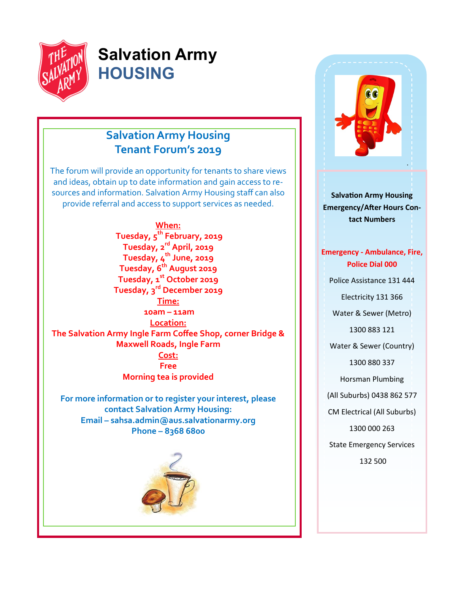

# **Salvation Army HOUSING**

# **Salvation Army Housing Tenant Forum's 2019**

The forum will provide an opportunity for tenants to share views and ideas, obtain up to date information and gain access to resources and information. Salvation Army Housing staff can also provide referral and access to support services as needed.

**When: Tuesday, 5th February, 2019 Tuesday, 2rd April, 2019 Tuesday, 4th June, 2019 Tuesday, 6th August 2019 Tuesday, 1st October 2019 Tuesday, 3rd December 2019 Time: 10am – 11am Location: The Salvation Army Ingle Farm Coffee Shop, corner Bridge & Maxwell Roads, Ingle Farm Cost: Free Morning tea is provided**

**For more information or to register your interest, please contact Salvation Army Housing: Email – sahsa.admin@aus.salvationarmy.org Phone – 8368 6800**





**Salvation Army Housing Emergency/After Hours Contact Numbers**

**Emergency - Ambulance, Fire, Police Dial 000** Police Assistance 131 444 Electricity 131 366 Water & Sewer (Metro) 1300 883 121 Water & Sewer (Country) 1300 880 337 Horsman Plumbing (All Suburbs) 0438 862 577 CM Electrical (All Suburbs) 1300 000 263 State Emergency Services 132 500